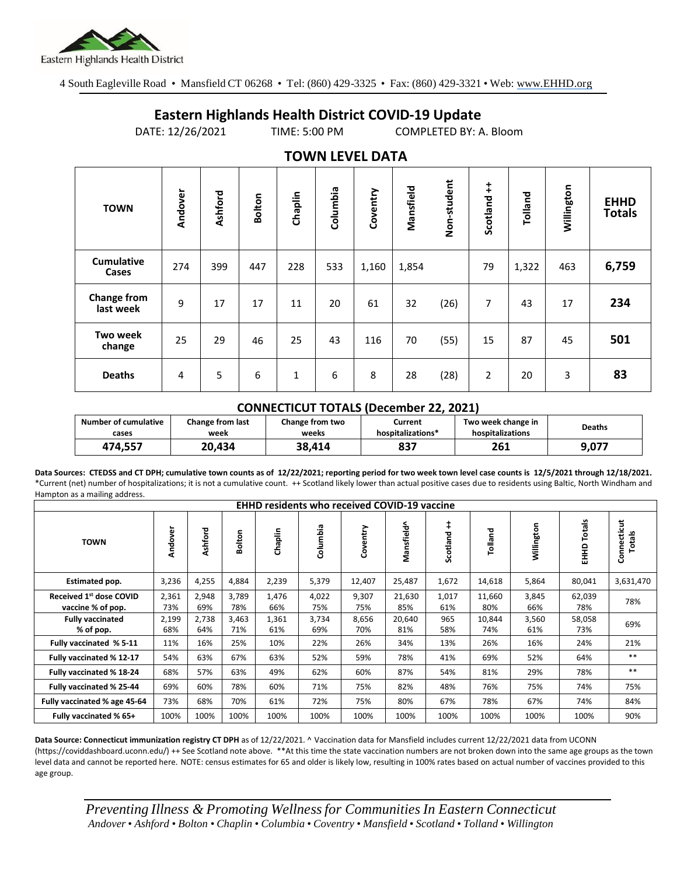

4 South Eagleville Road • Mansfield CT 06268 • Tel: (860) 429-3325 • Fax: (860) 429-3321 • Web: www.EHHD.org

## **Eastern Highlands Health District COVID-19 Update**

DATE: 12/26/2021 TIME: 5:00 PM COMPLETED BY: A. Bloom

| . <i>.</i> .                    |         |         |               |             |          |          |           |             |                        |         |            |                              |
|---------------------------------|---------|---------|---------------|-------------|----------|----------|-----------|-------------|------------------------|---------|------------|------------------------------|
| <b>TOWN</b>                     | Andover | Ashford | <b>Bolton</b> | Chaplin     | Columbia | Coventry | Mansfield | Non-student | $\ddagger$<br>Scotland | Tolland | Willington | <b>EHHD</b><br><b>Totals</b> |
| <b>Cumulative</b><br>Cases      | 274     | 399     | 447           | 228         | 533      | 1,160    | 1,854     |             | 79                     | 1,322   | 463        | 6,759                        |
| <b>Change from</b><br>last week | 9       | 17      | 17            | 11          | 20       | 61       | 32        | (26)        | 7                      | 43      | 17         | 234                          |
| <b>Two week</b><br>change       | 25      | 29      | 46            | 25          | 43       | 116      | 70        | (55)        | 15                     | 87      | 45         | 501                          |
| <b>Deaths</b>                   | 4       | 5       | 6             | $\mathbf 1$ | 6        | 8        | 28        | (28)        | $\overline{2}$         | 20      | 3          | 83                           |

## **TOWN LEVEL DATA**

## **CONNECTICUT TOTALS (December 22, 2021)**

| <b>Number of cumulative</b> | <b>Change from last</b> | <b>Change from two</b> | Current           | Two week change in | <b>Deaths</b> |
|-----------------------------|-------------------------|------------------------|-------------------|--------------------|---------------|
| cases                       | week                    | weeks                  | hospitalizations* | hospitalizations   |               |
| 474,557                     | 20.434                  | 38.414                 | 837               | 261                | 9,077         |

**Data Sources: CTEDSS and CT DPH; cumulative town counts as of 12/22/2021; reporting period for two week town level case counts is 12/5/2021 through 12/18/2021.** \*Current (net) number of hospitalizations; it is not a cumulative count. ++ Scotland likely lower than actual positive cases due to residents using Baltic, North Windham and Hampton as a mailing address.

| <b>EHHD residents who received COVID-19 vaccine</b> |              |              |              |              |              |              |               |                        |               |              |                  |                       |
|-----------------------------------------------------|--------------|--------------|--------------|--------------|--------------|--------------|---------------|------------------------|---------------|--------------|------------------|-----------------------|
| <b>TOWN</b>                                         | Andover      | Ashford      | Bolton       | Chaplin      | Columbia     | Coventry     | Mansfield^    | $\ddagger$<br>Scotland | Tolland       | Willington   | Totals<br>요<br>표 | Connecticut<br>Totals |
| Estimated pop.                                      | 3,236        | 4,255        | 4,884        | 2,239        | 5,379        | 12,407       | 25,487        | 1,672                  | 14,618        | 5,864        | 80,041           | 3,631,470             |
| Received 1st dose COVID<br>vaccine % of pop.        | 2,361<br>73% | 2,948<br>69% | 3,789<br>78% | 1,476<br>66% | 4,022<br>75% | 9,307<br>75% | 21,630<br>85% | 1,017<br>61%           | 11,660<br>80% | 3,845<br>66% | 62,039<br>78%    | 78%                   |
| <b>Fully vaccinated</b><br>% of pop.                | 2,199<br>68% | 2,738<br>64% | 3,463<br>71% | 1,361<br>61% | 3,734<br>69% | 8,656<br>70% | 20,640<br>81% | 965<br>58%             | 10,844<br>74% | 3,560<br>61% | 58,058<br>73%    | 69%                   |
| Fully vaccinated % 5-11                             | 11%          | 16%          | 25%          | 10%          | 22%          | 26%          | 34%           | 13%                    | 26%           | 16%          | 24%              | 21%                   |
| Fully vaccinated % 12-17                            | 54%          | 63%          | 67%          | 63%          | 52%          | 59%          | 78%           | 41%                    | 69%           | 52%          | 64%              | $***$                 |
| Fully vaccinated % 18-24                            | 68%          | 57%          | 63%          | 49%          | 62%          | 60%          | 87%           | 54%                    | 81%           | 29%          | 78%              | $***$                 |
| Fully vaccinated % 25-44                            | 69%          | 60%          | 78%          | 60%          | 71%          | 75%          | 82%           | 48%                    | 76%           | 75%          | 74%              | 75%                   |
| Fully vaccinated % age 45-64                        | 73%          | 68%          | 70%          | 61%          | 72%          | 75%          | 80%           | 67%                    | 78%           | 67%          | 74%              | 84%                   |
| Fully vaccinated % 65+                              | 100%         | 100%         | 100%         | 100%         | 100%         | 100%         | 100%          | 100%                   | 100%          | 100%         | 100%             | 90%                   |

**Data Source: Connecticut immunization registry CT DPH** as of 12/22/2021. ^ Vaccination data for Mansfield includes current 12/22/2021 data from UCONN (https://coviddashboard.uconn.edu/) ++ See Scotland note above. \*\*At this time the state vaccination numbers are not broken down into the same age groups as the town level data and cannot be reported here. NOTE: census estimates for 65 and older is likely low, resulting in 100% rates based on actual number of vaccines provided to this age group.

*Preventing Illness & Promoting Wellnessfor Communities In Eastern Connecticut* Andover • Ashford • Bolton • Chaplin • Columbia • Coventry • Mansfield • Scotland • Tolland • Willington